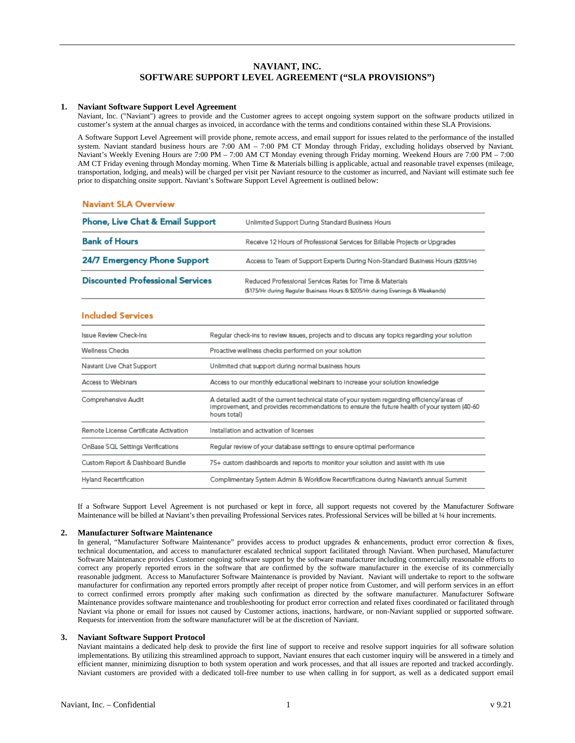# **NAVIANT, INC. SOFTWARE SUPPORT LEVEL AGREEMENT ("SLA PROVISIONS")**

## **1. Naviant Software Support Level Agreement**

Naviant, Inc. ("Naviant") agrees to provide and the Customer agrees to accept ongoing system support on the software products utilized in customer's system at the annual charges as invoiced, in accordance with the terms and conditions contained within these SLA Provisions.

A Software Support Level Agreement will provide phone, remote access, and email support for issues related to the performance of the installed system. Naviant standard business hours are 7:00 AM – 7:00 PM CT Monday through Friday, excluding holidays observed by Naviant. Naviant's Weekly Evening Hours are 7:00 PM – 7:00 AM CT Monday evening through Friday morning. Weekend Hours are 7:00 PM – 7:00 AM CT Friday evening through Monday morning. When Time & Materials billing is applicable, actual and reasonable travel expenses (mileage, transportation, lodging, and meals) will be charged per visit per Naviant resource to the customer as incurred, and Naviant will estimate such fee prior to dispatching onsite support. Naviant's Software Support Level Agreement is outlined below:

## **Naviant SLA Overview**

| <b>Phone, Live Chat &amp; Email Support</b> | Unlimited Support During Standard Business Hours                                                                                           |
|---------------------------------------------|--------------------------------------------------------------------------------------------------------------------------------------------|
| <b>Bank of Hours</b>                        | Receive 12 Hours of Professional Services for Billable Projects or Upgrades                                                                |
| 24/7 Emergency Phone Support                | Access to Team of Support Experts During Non-Standard Business Hours (\$205/Hr)                                                            |
| <b>Discounted Professional Services</b>     | Reduced Professional Services Rates for Time & Materials<br>(\$175/Hr during Regular Business Hours & \$205/Hr during Evenings & Weekends) |

## **Included Services**

| Issue Review Check-Ins                | Regular check-ins to review issues, projects and to discuss any topics regarding your solution                                                                                                              |
|---------------------------------------|-------------------------------------------------------------------------------------------------------------------------------------------------------------------------------------------------------------|
| <b>Wellness Checks</b>                | Proactive wellness checks performed on your solution                                                                                                                                                        |
| Naviant Live Chat Support             | Unlimited chat support during normal business hours                                                                                                                                                         |
| Access to Webinars                    | Access to our monthly educational webinars to increase your solution knowledge                                                                                                                              |
| Comprehensive Audit                   | A detailed audit of the current technical state of your system regarding efficiency/areas of<br>Improvement, and provides recommendations to ensure the future health of your system (40-60<br>hours total) |
| Remote License Certificate Activation | Installation and activation of licenses.                                                                                                                                                                    |
| OnBase SQL Settings Verifications     | Regular review of your database settings to ensure optimal performance                                                                                                                                      |
| Custom Report & Dashboard Bundle      | 75+ custom dashboards and reports to monitor your solution and assist with its use                                                                                                                          |
| Hyland Recertification                | Complimentary System Admin & Workflow Recertifications during Naviant's annual Summit                                                                                                                       |

If a Software Support Level Agreement is not purchased or kept in force, all support requests not covered by the Manufacturer Software Maintenance will be billed at Naviant's then prevailing Professional Services rates. Professional Services will be billed at ¼ hour increments.

#### **2. Manufacturer Software Maintenance**

In general, "Manufacturer Software Maintenance" provides access to product upgrades & enhancements, product error correction & fixes, technical documentation, and access to manufacturer escalated technical support facilitated through Naviant. When purchased, Manufacturer Software Maintenance provides Customer ongoing software support by the software manufacturer including commercially reasonable efforts to correct any properly reported errors in the software that are confirmed by the software manufacturer in the exercise of its commercially reasonable judgment. Access to Manufacturer Software Maintenance is provided by Naviant. Naviant will undertake to report to the software manufacturer for confirmation any reported errors promptly after receipt of proper notice from Customer, and will perform services in an effort to correct confirmed errors promptly after making such confirmation as directed by the software manufacturer. Manufacturer Software Maintenance provides software maintenance and troubleshooting for product error correction and related fixes coordinated or facilitated through Naviant via phone or email for issues not caused by Customer actions, inactions, hardware, or non-Naviant supplied or supported software. Requests for intervention from the software manufacturer will be at the discretion of Naviant.

#### **3. Naviant Software Support Protocol**

Naviant maintains a dedicated help desk to provide the first line of support to receive and resolve support inquiries for all software solution implementations. By utilizing this streamlined approach to support, Naviant ensures that each customer inquiry will be answered in a timely and efficient manner, minimizing disruption to both system operation and work processes, and that all issues are reported and tracked accordingly. Naviant customers are provided with a dedicated toll-free number to use when calling in for support, as well as a dedicated support email